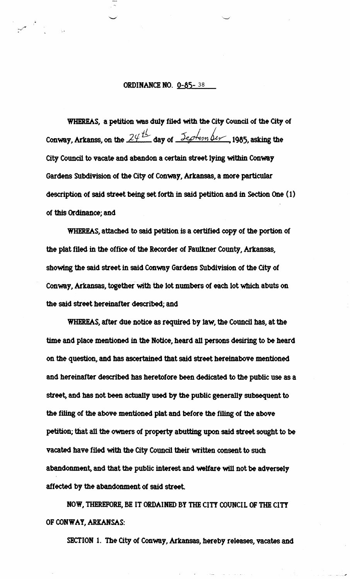## ORDINANCE NO. 0-85- <sup>38</sup>

**WHEREAS,** a petition **was** duly filed with **the City Council** of the **City** of Conway, Arkanss, on the  $24<sup>th</sup>$  day of  $5<sup>th</sup>$  depten ber, 1985, asking the City Council to **vacate** and abandon a certain street lying **within** Conmy Gardens Subdivision of the City of Conway, Arkansas, a more particular description of said street **being** set forth in said petition and in Section One (1) of **this Ordinance;** and

WHEREAS, attached to said petition is a certified copy of the portion of the plat filed in the office of the Recorder of Faulkner County, Arkansas, showing the said street **in** said Conway **Gardens** Subdivision of the City of Conway, **Arkamas,** together **with** the lot numbefs of **each** lot which abuts on the said street hereinafter **described;** and

WHEREAS, after due notice **as** required by law, the Council has, at the time and place mentioned in the Notice, heard all persons desiring to be heard on Me question, **and** has **aswtahed** that said street hereinabove mentioned and hereinafter described has heretofore been dedicated to the public use as a street, and **has** not **been** actually **used** by the public generally subsequent to the filing of the above mentioned plat and before the filing of the above petition; that all the owners of property abutting upon said street sought to be vacated have filed with the City Council their written consent to such abandonment, and that the public interest and welfare will not be adversely affected by the abandonment of said street.

NOW, THEREFORE, BE **IT ORDAINED BY THE CITY COUNCIL** OF **THE CITY**  OF CONWAY, ARKANSAS:

SECTION 1. The City of Conway, Arkansas, hereby releases, **vacates** and